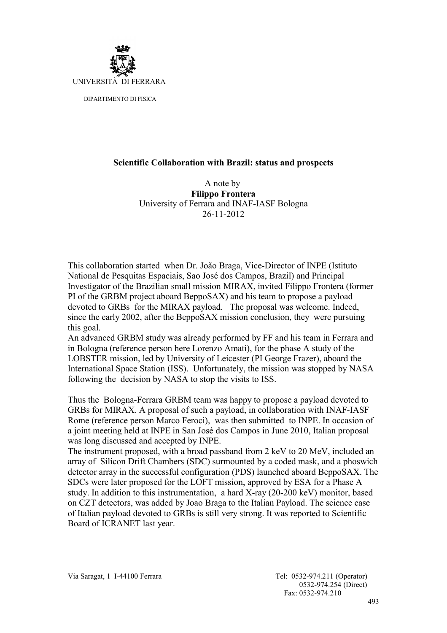

## **Scientific Collaboration with Brazil: status and prospects**

A note by **Filippo Frontera** University of Ferrara and INAF-IASF Bologna 26-11-2012

This collaboration started when Dr. João Braga, Vice-Director of INPE (Istituto National de Pesquitas Espaciais, Sao José dos Campos, Brazil) and Principal Investigator of the Brazilian small mission MIRAX, invited Filippo Frontera (former PI of the GRBM project aboard BeppoSAX) and his team to propose a payload devoted to GRBs for the MIRAX payload. The proposal was welcome. Indeed, since the early 2002, after the BeppoSAX mission conclusion, they were pursuing this goal.

An advanced GRBM study was already performed by FF and his team in Ferrara and in Bologna (reference person here Lorenzo Amati), for the phase A study of the LOBSTER mission, led by University of Leicester (PI George Frazer), aboard the International Space Station (ISS). Unfortunately, the mission was stopped by NASA following the decision by NASA to stop the visits to ISS.

Thus the Bologna-Ferrara GRBM team was happy to propose a payload devoted to GRBs for MIRAX. A proposal of such a payload, in collaboration with INAF-IASF Rome (reference person Marco Feroci), was then submitted to INPE. In occasion of a joint meeting held at INPE in San José dos Campos in June 2010, Italian proposal was long discussed and accepted by INPE.

The instrument proposed, with a broad passband from 2 keV to 20 MeV, included an array of Silicon Drift Chambers (SDC) surmounted by a coded mask, and a phoswich detector array in the successful configuration (PDS) launched aboard BeppoSAX. The SDCs were later proposed for the LOFT mission, approved by ESA for a Phase A study. In addition to this instrumentation, a hard X-ray (20-200 keV) monitor, based on CZT detectors, was added by Joao Braga to the Italian Payload. The science case of Italian payload devoted to GRBs is still very strong. It was reported to Scientific Board of ICRANET last year.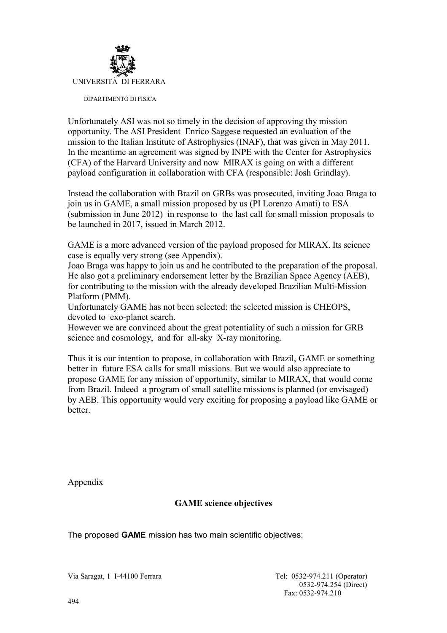

Unfortunately ASI was not so timely in the decision of approving thy mission opportunity. The ASI President Enrico Saggese requested an evaluation of the mission to the Italian Institute of Astrophysics (INAF), that was given in May 2011. In the meantime an agreement was signed by INPE with the Center for Astrophysics (CFA) of the Harvard University and now MIRAX is going on with a different payload configuration in collaboration with CFA (responsible: Josh Grindlay).

Instead the collaboration with Brazil on GRBs was prosecuted, inviting Joao Braga to join us in GAME, a small mission proposed by us (PI Lorenzo Amati) to ESA (submission in June 2012) in response to the last call for small mission proposals to be launched in 2017, issued in March 2012.

GAME is a more advanced version of the payload proposed for MIRAX. Its science case is equally very strong (see Appendix).

Joao Braga was happy to join us and he contributed to the preparation of the proposal. He also got a preliminary endorsement letter by the Brazilian Space Agency (AEB), for contributing to the mission with the already developed Brazilian Multi-Mission Platform (PMM).

Unfortunately GAME has not been selected: the selected mission is CHEOPS, devoted to exo-planet search.

However we are convinced about the great potentiality of such a mission for GRB science and cosmology, and for all-sky X-ray monitoring.

Thus it is our intention to propose, in collaboration with Brazil, GAME or something better in future ESA calls for small missions. But we would also appreciate to propose GAME for any mission of opportunity, similar to MIRAX, that would come from Brazil. Indeed a program of small satellite missions is planned (or envisaged) by AEB. This opportunity would very exciting for proposing a payload like GAME or better.

Appendix

## **GAME science objectives**

The proposed **GAME** mission has two main scientific objectives:

Via Saragat, 1 I-44100 Ferrara Tel: 0532-974.211 (Operator)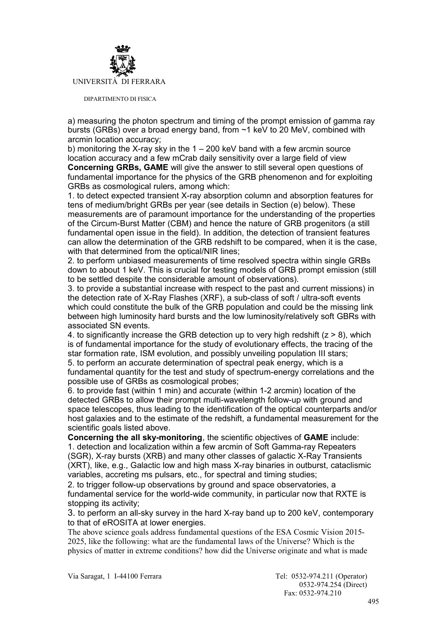

a) measuring the photon spectrum and timing of the prompt emission of gamma ray bursts (GRBs) over a broad energy band, from ~1 keV to 20 MeV, combined with arcmin location accuracy;

b) monitoring the X-ray sky in the  $1 - 200$  keV band with a few arcmin source location accuracy and a few mCrab daily sensitivity over a large field of view **Concerning GRBs, GAME** will give the answer to still several open questions of fundamental importance for the physics of the GRB phenomenon and for exploiting GRBs as cosmological rulers, among which:

1. to detect expected transient X-ray absorption column and absorption features for tens of medium/bright GRBs per year (see details in Section (e) below). These measurements are of paramount importance for the understanding of the properties of the Circum-Burst Matter (CBM) and hence the nature of GRB progenitors (a still fundamental open issue in the field). In addition, the detection of transient features can allow the determination of the GRB redshift to be compared, when it is the case, with that determined from the optical/NIR lines;

2. to perform unbiased measurements of time resolved spectra within single GRBs down to about 1 keV. This is crucial for testing models of GRB prompt emission (still to be settled despite the considerable amount of observations).

3. to provide a substantial increase with respect to the past and current missions) in the detection rate of X-Ray Flashes (XRF), a sub-class of soft / ultra-soft events which could constitute the bulk of the GRB population and could be the missing link between high luminosity hard bursts and the low luminosity/relatively soft GBRs with associated SN events.

4. to significantly increase the GRB detection up to very high redshift  $(z > 8)$ , which is of fundamental importance for the study of evolutionary effects, the tracing of the star formation rate, ISM evolution, and possibly unveiling population III stars; 5. to perform an accurate determination of spectral peak energy, which is a fundamental quantity for the test and study of spectrum-energy correlations and the possible use of GRBs as cosmological probes;

6. to provide fast (within 1 min) and accurate (within 1-2 arcmin) location of the detected GRBs to allow their prompt multi-wavelength follow-up with ground and space telescopes, thus leading to the identification of the optical counterparts and/or host galaxies and to the estimate of the redshift, a fundamental measurement for the scientific goals listed above.

**Concerning the all sky-monitoring**, the scientific objectives of **GAME** include: 1. detection and localization within a few arcmin of Soft Gamma-ray Repeaters (SGR), X-ray bursts (XRB) and many other classes of galactic X-Ray Transients (XRT), like, e.g., Galactic low and high mass X-ray binaries in outburst, cataclismic variables, accreting ms pulsars, etc., for spectral and timing studies;

2. to trigger follow-up observations by ground and space observatories, a fundamental service for the world-wide community, in particular now that RXTE is stopping its activity;

3. to perform an all-sky survey in the hard X-ray band up to 200 keV, contemporary to that of eROSITA at lower energies.

The above science goals address fundamental questions of the ESA Cosmic Vision 2015- 2025, like the following: what are the fundamental laws of the Universe? Which is the physics of matter in extreme conditions? how did the Universe originate and what is made

Via Saragat, 1 I-44100 Ferrara Tel: 0532-974.211 (Operator)